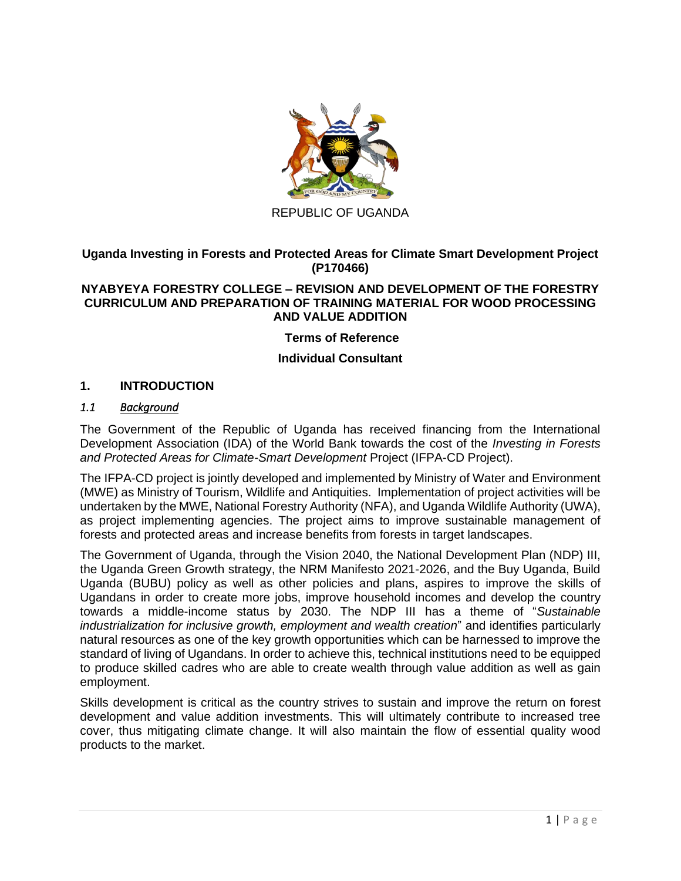

REPUBLIC OF UGANDA

### **Uganda Investing in Forests and Protected Areas for Climate Smart Development Project (P170466)**

#### **NYABYEYA FORESTRY COLLEGE – REVISION AND DEVELOPMENT OF THE FORESTRY CURRICULUM AND PREPARATION OF TRAINING MATERIAL FOR WOOD PROCESSING AND VALUE ADDITION**

### **Terms of Reference**

### **Individual Consultant**

#### **1. INTRODUCTION**

#### *1.1 Background*

The Government of the Republic of Uganda has received financing from the International Development Association (IDA) of the World Bank towards the cost of the *Investing in Forests and Protected Areas for Climate-Smart Development* Project (IFPA-CD Project).

The IFPA-CD project is jointly developed and implemented by Ministry of Water and Environment (MWE) as Ministry of Tourism, Wildlife and Antiquities. Implementation of project activities will be undertaken by the MWE, National Forestry Authority (NFA), and Uganda Wildlife Authority (UWA), as project implementing agencies. The project aims to improve sustainable management of forests and protected areas and increase benefits from forests in target landscapes.

The Government of Uganda, through the Vision 2040, the National Development Plan (NDP) III, the Uganda Green Growth strategy, the NRM Manifesto 2021-2026, and the Buy Uganda, Build Uganda (BUBU) policy as well as other policies and plans, aspires to improve the skills of Ugandans in order to create more jobs, improve household incomes and develop the country towards a middle-income status by 2030. The NDP III has a theme of "*Sustainable industrialization for inclusive growth, employment and wealth creation*" and identifies particularly natural resources as one of the key growth opportunities which can be harnessed to improve the standard of living of Ugandans. In order to achieve this, technical institutions need to be equipped to produce skilled cadres who are able to create wealth through value addition as well as gain employment.

Skills development is critical as the country strives to sustain and improve the return on forest development and value addition investments. This will ultimately contribute to increased tree cover, thus mitigating climate change. It will also maintain the flow of essential quality wood products to the market.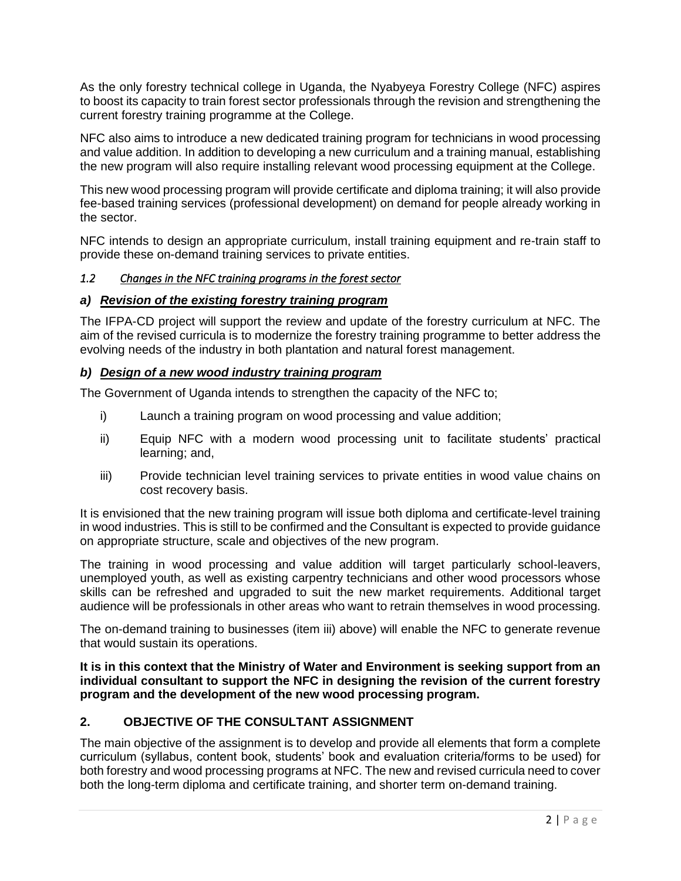As the only forestry technical college in Uganda, the Nyabyeya Forestry College (NFC) aspires to boost its capacity to train forest sector professionals through the revision and strengthening the current forestry training programme at the College.

NFC also aims to introduce a new dedicated training program for technicians in wood processing and value addition. In addition to developing a new curriculum and a training manual, establishing the new program will also require installing relevant wood processing equipment at the College.

This new wood processing program will provide certificate and diploma training; it will also provide fee-based training services (professional development) on demand for people already working in the sector.

NFC intends to design an appropriate curriculum, install training equipment and re-train staff to provide these on-demand training services to private entities.

#### *1.2 Changes in the NFC training programs in the forest sector*

#### *a) Revision of the existing forestry training program*

The IFPA-CD project will support the review and update of the forestry curriculum at NFC. The aim of the revised curricula is to modernize the forestry training programme to better address the evolving needs of the industry in both plantation and natural forest management.

### *b) Design of a new wood industry training program*

The Government of Uganda intends to strengthen the capacity of the NFC to;

- i) Launch a training program on wood processing and value addition;
- ii) Equip NFC with a modern wood processing unit to facilitate students' practical learning; and,
- <span id="page-1-0"></span>iii) Provide technician level training services to private entities in wood value chains on cost recovery basis.

It is envisioned that the new training program will issue both diploma and certificate-level training in wood industries. This is still to be confirmed and the Consultant is expected to provide guidance on appropriate structure, scale and objectives of the new program.

The training in wood processing and value addition will target particularly school-leavers, unemployed youth, as well as existing carpentry technicians and other wood processors whose skills can be refreshed and upgraded to suit the new market requirements. Additional target audience will be professionals in other areas who want to retrain themselves in wood processing.

The on-demand training to businesses (item [iii\) above\)](#page-1-0) will enable the NFC to generate revenue that would sustain its operations.

**It is in this context that the Ministry of Water and Environment is seeking support from an individual consultant to support the NFC in designing the revision of the current forestry program and the development of the new wood processing program.**

# **2. OBJECTIVE OF THE CONSULTANT ASSIGNMENT**

The main objective of the assignment is to develop and provide all elements that form a complete curriculum (syllabus, content book, students' book and evaluation criteria/forms to be used) for both forestry and wood processing programs at NFC. The new and revised curricula need to cover both the long-term diploma and certificate training, and shorter term on-demand training.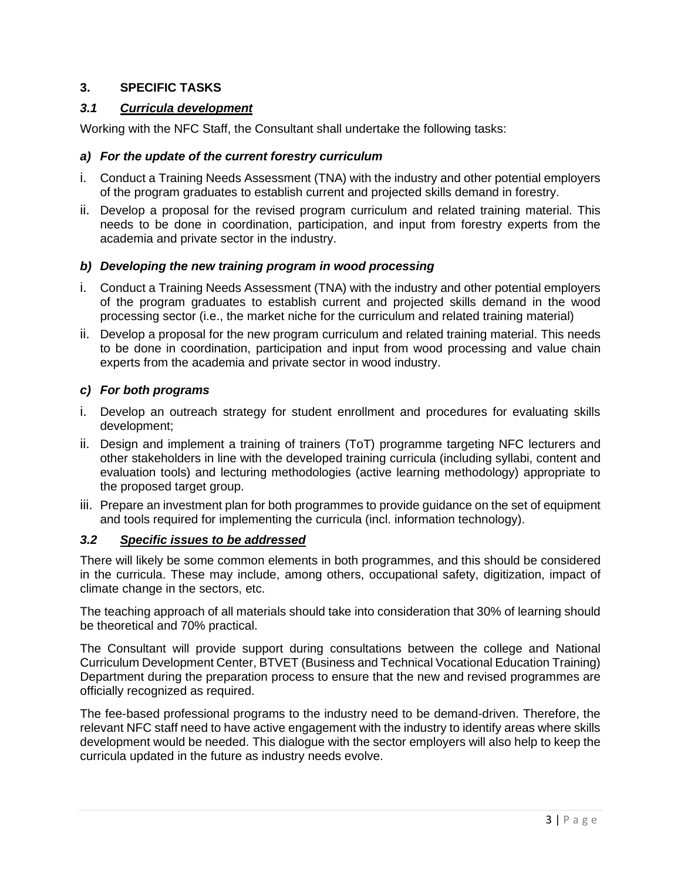## **3. SPECIFIC TASKS**

#### *3.1 Curricula development*

Working with the NFC Staff, the Consultant shall undertake the following tasks:

### *a) For the update of the current forestry curriculum*

- i. Conduct a Training Needs Assessment (TNA) with the industry and other potential employers of the program graduates to establish current and projected skills demand in forestry.
- ii. Develop a proposal for the revised program curriculum and related training material. This needs to be done in coordination, participation, and input from forestry experts from the academia and private sector in the industry.

### *b) Developing the new training program in wood processing*

- i. Conduct a Training Needs Assessment (TNA) with the industry and other potential employers of the program graduates to establish current and projected skills demand in the wood processing sector (i.e., the market niche for the curriculum and related training material)
- ii. Develop a proposal for the new program curriculum and related training material. This needs to be done in coordination, participation and input from wood processing and value chain experts from the academia and private sector in wood industry.

### *c) For both programs*

- i. Develop an outreach strategy for student enrollment and procedures for evaluating skills development;
- ii. Design and implement a training of trainers (ToT) programme targeting NFC lecturers and other stakeholders in line with the developed training curricula (including syllabi, content and evaluation tools) and lecturing methodologies (active learning methodology) appropriate to the proposed target group.
- iii. Prepare an investment plan for both programmes to provide guidance on the set of equipment and tools required for implementing the curricula (incl. information technology).

#### *3.2 Specific issues to be addressed*

There will likely be some common elements in both programmes, and this should be considered in the curricula. These may include, among others, occupational safety, digitization, impact of climate change in the sectors, etc.

The teaching approach of all materials should take into consideration that 30% of learning should be theoretical and 70% practical.

The Consultant will provide support during consultations between the college and National Curriculum Development Center, BTVET (Business and Technical Vocational Education Training) Department during the preparation process to ensure that the new and revised programmes are officially recognized as required.

The fee-based professional programs to the industry need to be demand-driven. Therefore, the relevant NFC staff need to have active engagement with the industry to identify areas where skills development would be needed. This dialogue with the sector employers will also help to keep the curricula updated in the future as industry needs evolve.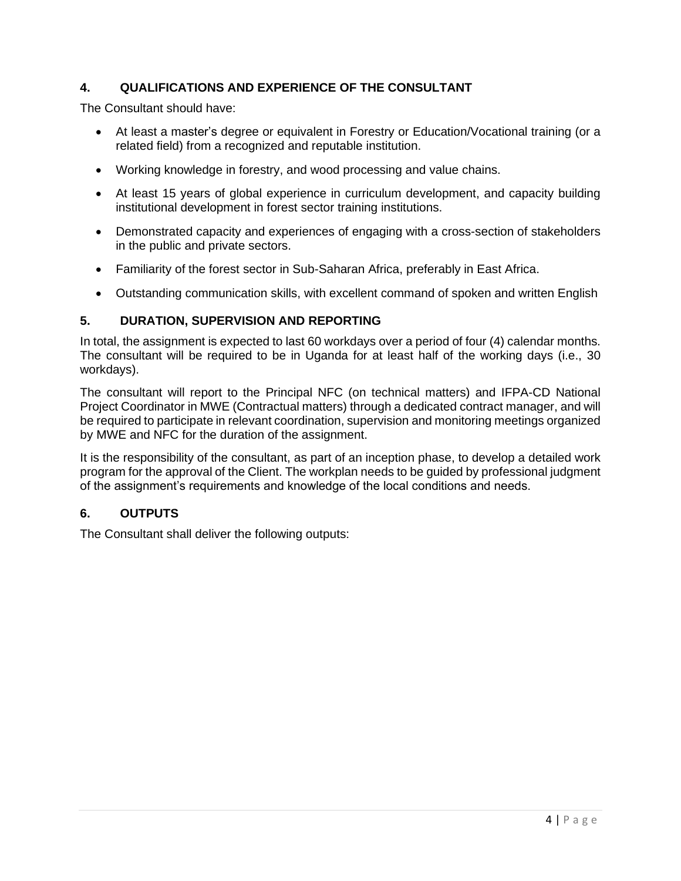# **4. QUALIFICATIONS AND EXPERIENCE OF THE CONSULTANT**

The Consultant should have:

- At least a master's degree or equivalent in Forestry or Education/Vocational training (or a related field) from a recognized and reputable institution.
- Working knowledge in forestry, and wood processing and value chains.
- At least 15 years of global experience in curriculum development, and capacity building institutional development in forest sector training institutions.
- Demonstrated capacity and experiences of engaging with a cross-section of stakeholders in the public and private sectors.
- Familiarity of the forest sector in Sub-Saharan Africa, preferably in East Africa.
- Outstanding communication skills, with excellent command of spoken and written English

### **5. DURATION, SUPERVISION AND REPORTING**

In total, the assignment is expected to last 60 workdays over a period of four (4) calendar months. The consultant will be required to be in Uganda for at least half of the working days (i.e., 30 workdays).

The consultant will report to the Principal NFC (on technical matters) and IFPA-CD National Project Coordinator in MWE (Contractual matters) through a dedicated contract manager, and will be required to participate in relevant coordination, supervision and monitoring meetings organized by MWE and NFC for the duration of the assignment.

It is the responsibility of the consultant, as part of an inception phase, to develop a detailed work program for the approval of the Client. The workplan needs to be guided by professional judgment of the assignment's requirements and knowledge of the local conditions and needs.

# **6. OUTPUTS**

The Consultant shall deliver the following outputs: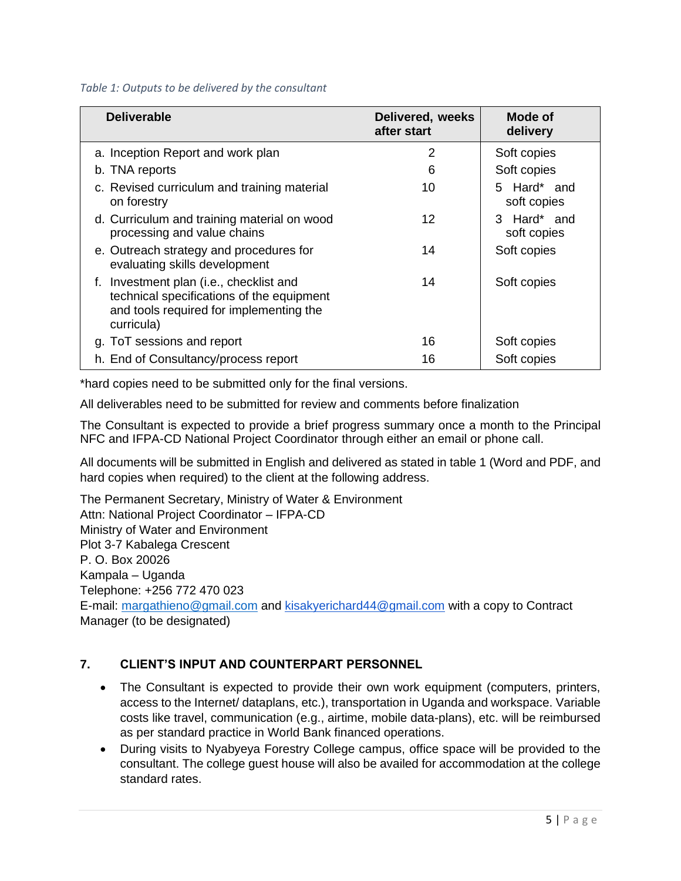#### *Table 1: Outputs to be delivered by the consultant*

| <b>Deliverable</b>                                                                                                                            | Delivered, weeks<br>after start | Mode of<br>delivery        |
|-----------------------------------------------------------------------------------------------------------------------------------------------|---------------------------------|----------------------------|
| a. Inception Report and work plan                                                                                                             | 2                               | Soft copies                |
| b. TNA reports                                                                                                                                | 6                               | Soft copies                |
| c. Revised curriculum and training material<br>on forestry                                                                                    | 10                              | 5 Hard* and<br>soft copies |
| d. Curriculum and training material on wood<br>processing and value chains                                                                    | 12                              | 3 Hard* and<br>soft copies |
| e. Outreach strategy and procedures for<br>evaluating skills development                                                                      | 14                              | Soft copies                |
| f. Investment plan (i.e., checklist and<br>technical specifications of the equipment<br>and tools required for implementing the<br>curricula) | 14                              | Soft copies                |
| g. ToT sessions and report                                                                                                                    | 16                              | Soft copies                |
| h. End of Consultancy/process report                                                                                                          | 16                              | Soft copies                |

\*hard copies need to be submitted only for the final versions.

All deliverables need to be submitted for review and comments before finalization

The Consultant is expected to provide a brief progress summary once a month to the Principal NFC and IFPA-CD National Project Coordinator through either an email or phone call.

All documents will be submitted in English and delivered as stated in table 1 (Word and PDF, and hard copies when required) to the client at the following address.

The Permanent Secretary, Ministry of Water & Environment Attn: National Project Coordinator – IFPA-CD Ministry of Water and Environment Plot 3-7 Kabalega Crescent P. O. Box 20026 Kampala – Uganda Telephone: +256 772 470 023 E-mail: [margathieno@gmail.com](mailto:margathieno@gmail.com) and [kisakyerichard44@gmail.com](mailto:kisakyerichard44@gmail.com) with a copy to Contract Manager (to be designated)

# **7. CLIENT'S INPUT AND COUNTERPART PERSONNEL**

- The Consultant is expected to provide their own work equipment (computers, printers, access to the Internet/ dataplans, etc.), transportation in Uganda and workspace. Variable costs like travel, communication (e.g., airtime, mobile data-plans), etc. will be reimbursed as per standard practice in World Bank financed operations.
- During visits to Nyabyeya Forestry College campus, office space will be provided to the consultant. The college guest house will also be availed for accommodation at the college standard rates.